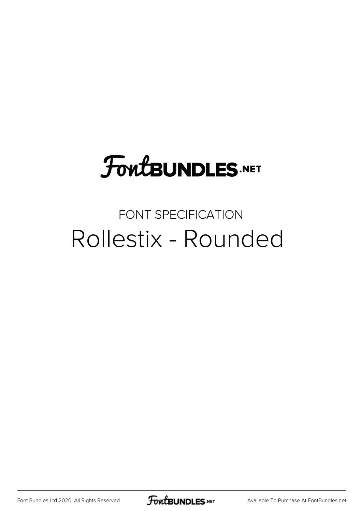# **FoutBUNDLES.NET**

#### FONT SPECIFICATION Rollestix - Rounded

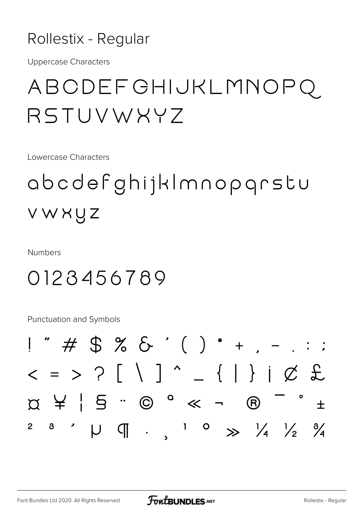#### Rollestix - Regular

**Uppercase Characters** 

## ABCDEFGHIJKLMNOPQ RSTUVWXYZ

Lowercase Characters

# abcdefghijklmnopgrstu VWXUZ

**Numbers** 

#### 0123456789

Punctuation and Symbols

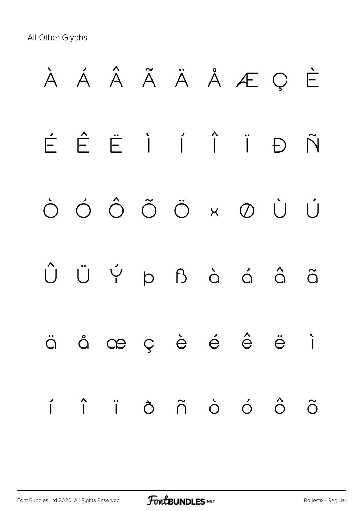All Other Glyphs

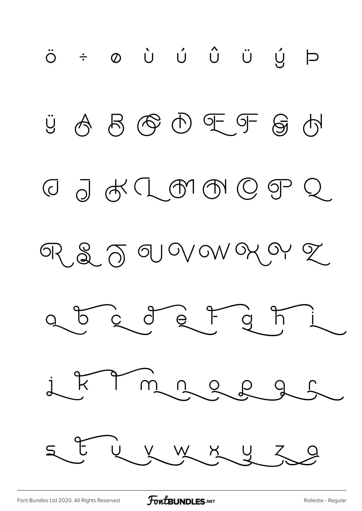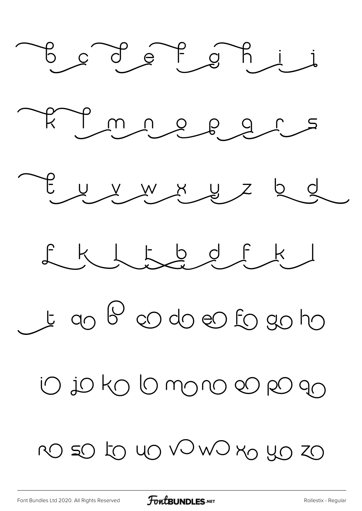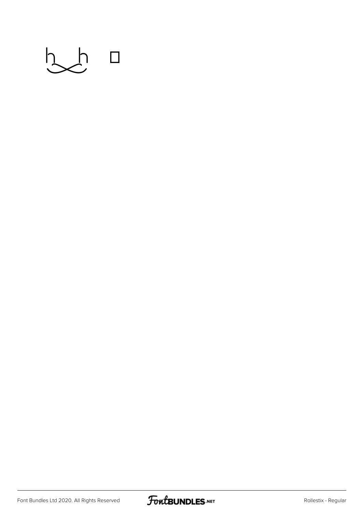

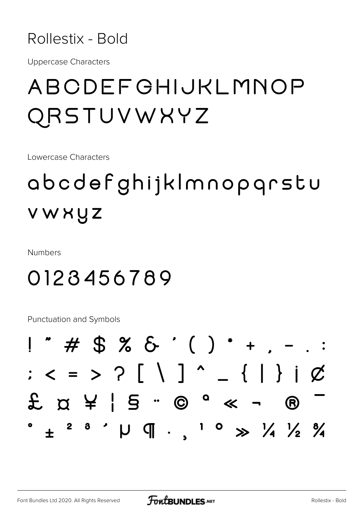

**Uppercase Characters** 

## ABODEFGHIJKLMNOP QRSTUVWXYZ

Lowercase Characters

# abcdefghijklmnopgrstu VWXUZ

**Numbers** 

#### 0123456789

Punctuation and Symbols

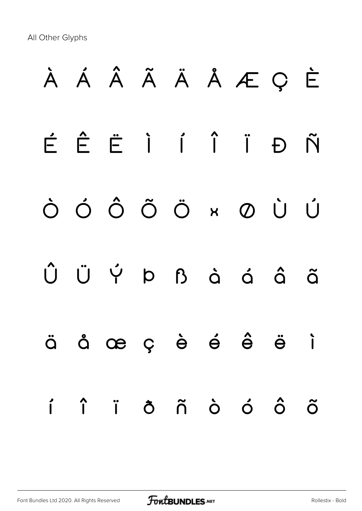All Other Glyphs

# **À Á Â Ã Ä Å Æ Ç È É Ê Ë Ì Í Î Ï Ð Ñ Ò Ó Ô Õ Ö × Ø Ù Ú Û Ü Ý Þ ß à á â ã ä å æ ç è é ê ë ì í î ï ð ñ ò ó ô õ**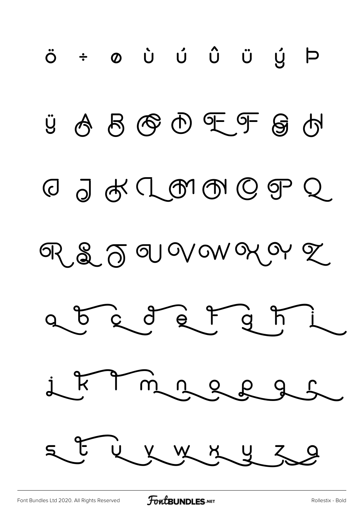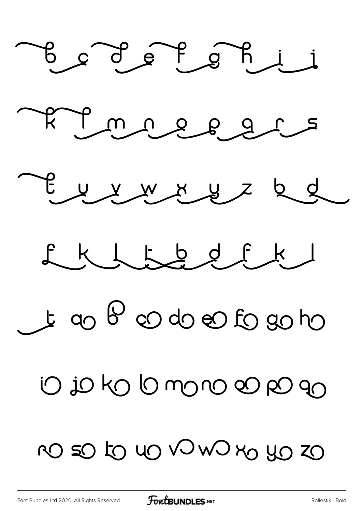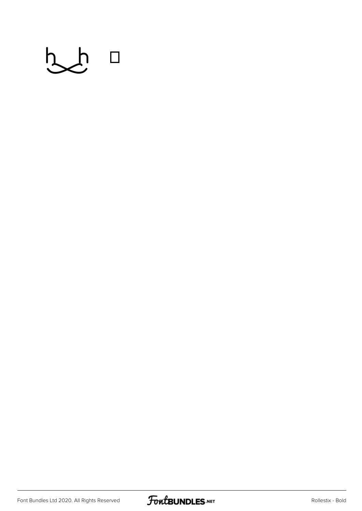

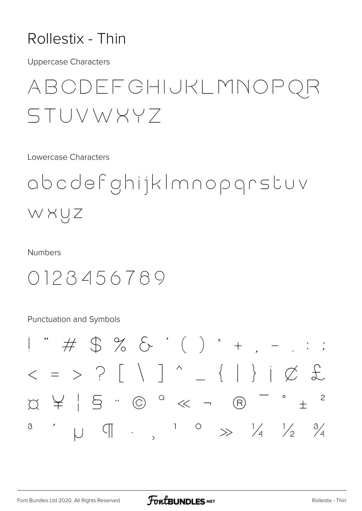#### Rollestix - Thin

**Uppercase Characters** 

### ABCDEFGHIJKLMNOP STUVWXY7

Lowercase Characters

abcdefghijkImnopgrstuv WXUZ

**Numbers** 

#### 0123456789

**Punctuation and Symbols** 

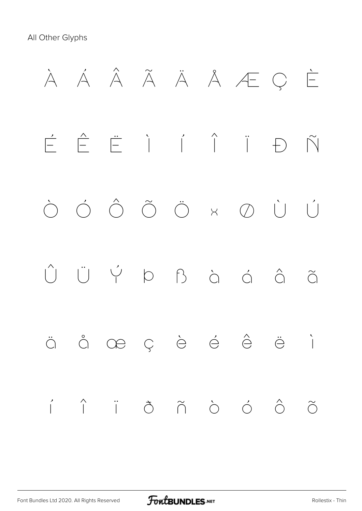All Other Glyphs

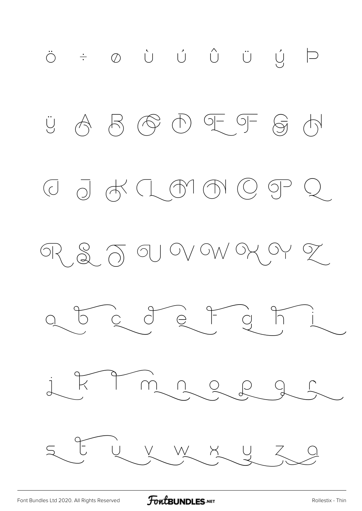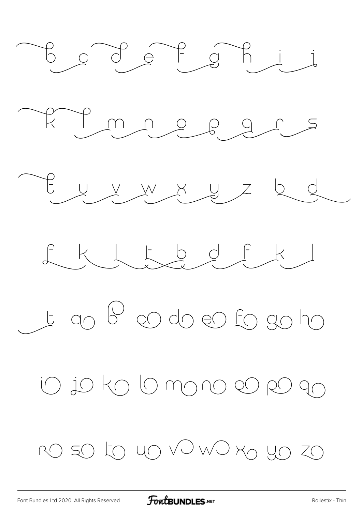